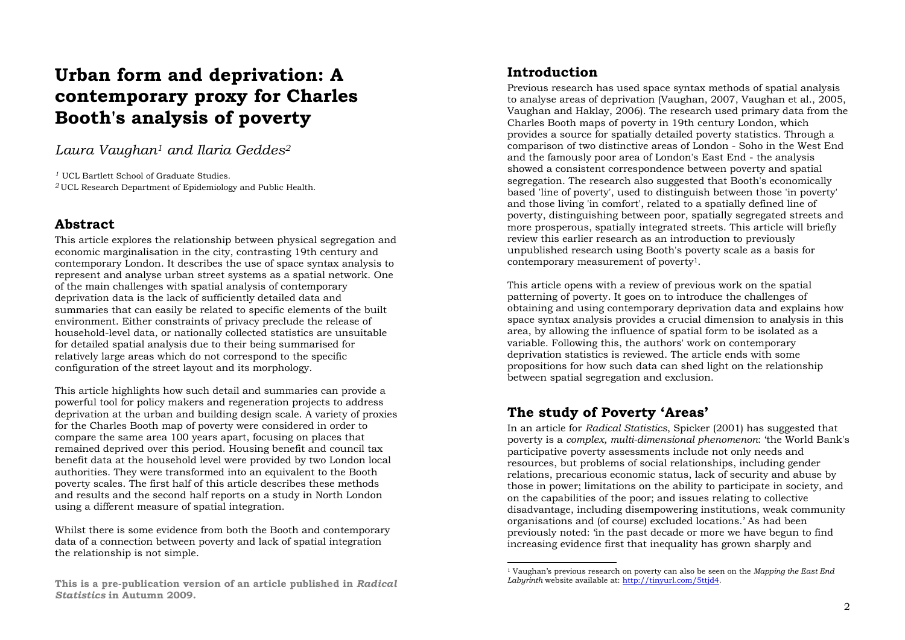# **Urban form and deprivation: A contemporary proxy for Charles Booth's analysis of poverty**

*Laura Vaughan1 and Ilaria Geddes 2*

*1* UCL Bartlett School of Graduate Studies.

*<sup>2</sup>*UCL Research Department of Epidemiology and Public Health.

# **Abstract**

This article explores the relationship between physical segregation and economic marginalisation in the city, contrasting 19th century and contemporary London. It describes the use of space syntax analysis to represent and analyse urban street systems as a spatial network. One of the main challenges with spatial analysis of contemporary deprivation data is the lack of sufficiently detailed data and summaries that can easily be related to specific elements of the built environment. Either constraints of privacy preclude the release of household-level data, or nationally collected statistics are unsuitable for detailed spatial analysis due to their being summarised for relatively large areas which do not correspond to the specific configuration of the street layout and its morphology.

This article highlights how such detail and summaries can provide a powerful tool for policy makers and regeneration projects to address deprivation at the urban and building design scale. A variety of proxies for the Charles Booth map of poverty were considered in order to compare the same area 100 years apart, focusing on places that remained deprived over this period. Housing benefit and council tax benefit data at the household level were provided by two London local authorities. They were transformed into an equivalent to the Booth poverty scales. The first half of this article describes these methods and results and the second half reports on a study in North London using a different measure of spatial integration.

Whilst there is some evidence from both the Booth and contemporary data of a connection between poverty and lack of spatial integration the relationship is not simple.

# **Introduction**

Previous research has used space syntax methods of spatial analysis to analyse areas of deprivation (Vaughan, 2007, Vaughan et al., 2005, Vaughan and Haklay, 2006). The research used primary data from the Charles Booth maps of poverty in 19th century London, which provides a source for spatially detailed poverty statistics. Through a comparison of two distinctive areas of London - Soho in the West End and the famously poor area of London's East End - the analysis showed a consistent correspondence between poverty and spatial segregation. The research also suggested that Booth's economically based 'line of poverty', used to distinguish between those 'in poverty' and those living 'in comfort', related to a spatially defined line of poverty, distinguishing between poor, spatially segregated streets and more prosperous, spatially integrated streets. This article will briefly review this earlier research as an introduction to previously unpublished research using Booth's poverty scale as a basis for contemporary measurement of poverty1.

This article opens with a review of previous work on the spatial patterning of poverty. It goes on to introduce the challenges of obtaining and using contemporary deprivation data and explains how space syntax analysis provides a crucial dimension to analysis in this area, by allowing the influence of spatial form to be isolated as a variable. Following this, the authors' work on contemporary deprivation statistics is reviewed. The article ends with some propositions for how such data can shed light on the relationship between spatial segregation and exclusion.

# **The study of Poverty 'Areas'**

In an article for *Radical Statistics*, Spicker (2001) has suggested that poverty is a *complex, multi-dimensional phenomenon*: 'the World Bank's participative poverty assessments include not only needs and resources, but problems of social relationships, including gender relations, precarious economic status, lack of security and abuse by those in power; limitations on the ability to participate in society, and on the capabilities of the poor; and issues relating to collective disadvantage, including disempowering institutions, weak community organisations and (of course) excluded locations.' As had been previously noted: 'in the past decade or more we have begun to find increasing evidence first that inequality has grown sharply and

**This is a pre-publication version of an article published in** *Radical Statistics* **in Autumn 2009.** 

<sup>1</sup> Vaughan's previous research on poverty can also be seen on the *Mapping the East End Labyrinth* website available at: http://tinyurl.com/5ttjd4.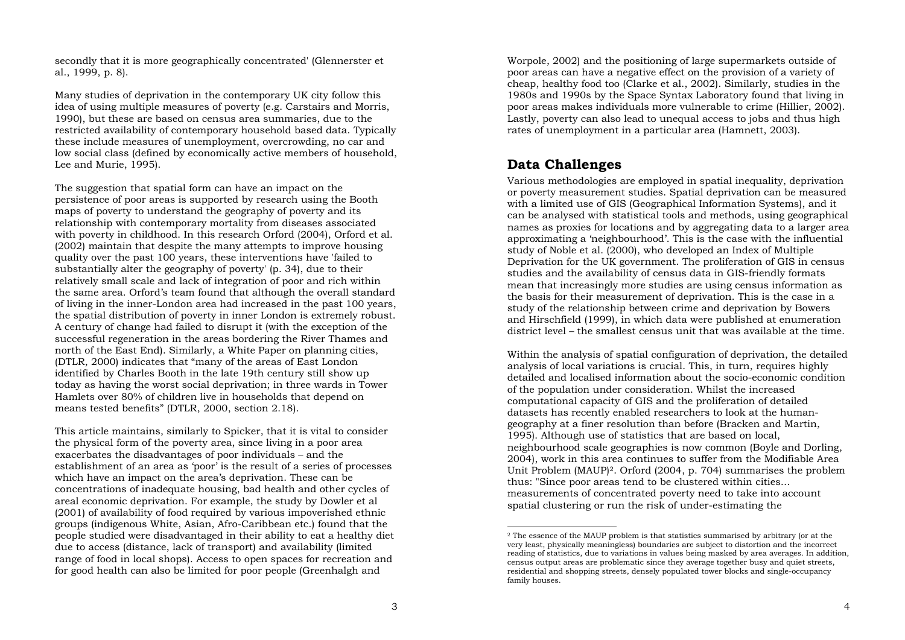secondly that it is more geographically concentrated' (Glennerster et al., 1999, p. 8).

Many studies of deprivation in the contemporary UK city follow this idea of using multiple measures of poverty (e.g. Carstairs and Morris, 1990), but these are based on census area summaries, due to the restricted availability of contemporary household based data. Typically these include measures of unemployment, overcrowding, no car and low social class (defined by economically active members of household, Lee and Murie, 1995).

The suggestion that spatial form can have an impact on the persistence of poor areas is supported by research using the Booth maps of poverty to understand the geography of poverty and its relationship with contemporary mortality from diseases associated with poverty in childhood. In this research Orford (2004), Orford et al. (2002) maintain that despite the many attempts to improve housing quality over the past 100 years, these interventions have 'failed to substantially alter the geography of poverty' (p. 34), due to their relatively small scale and lack of integration of poor and rich within the same area. Orford's team found that although the overall standard of living in the inner-London area had increased in the past 100 years, the spatial distribution of poverty in inner London is extremely robust. A century of change had failed to disrupt it (with the exception of the successful regeneration in the areas bordering the River Thames and north of the East End). Similarly, a White Paper on planning cities, (DTLR, 2000) indicates that "many of the areas of East London identified by Charles Booth in the late 19th century still show up today as having the worst social deprivation; in three wards in Tower Hamlets over 80% of children live in households that depend on means tested benefits" (DTLR, 2000, section 2.18).

This article maintains, similarly to Spicker, that it is vital to consider the physical form of the poverty area, since living in a poor area exacerbates the disadvantages of poor individuals – and the establishment of an area as 'poor' is the result of a series of processes which have an impact on the area's deprivation. These can be concentrations of inadequate housing, bad health and other cycles of areal economic deprivation. For example, the study by Dowler et al (2001) of availability of food required by various impoverished ethnic groups (indigenous White, Asian, Afro-Caribbean etc.) found that the people studied were disadvantaged in their ability to eat a healthy diet due to access (distance, lack of transport) and availability (limited range of food in local shops). Access to open spaces for recreation and for good health can also be limited for poor people (Greenhalgh and

Worpole, 2002) and the positioning of large supermarkets outside of poor areas can have a negative effect on the provision of a variety of cheap, healthy food too (Clarke et al., 2002). Similarly, studies in the 1980s and 1990s by the Space Syntax Laboratory found that living in poor areas makes individuals more vulnerable to crime (Hillier, 2002). Lastly, poverty can also lead to unequal access to jobs and thus high rates of unemployment in a particular area (Hamnett, 2003).

# **Data Challenges**

Various methodologies are employed in spatial inequality, deprivation or poverty measurement studies. Spatial deprivation can be measured with a limited use of GIS (Geographical Information Systems), and it can be analysed with statistical tools and methods, using geographical names as proxies for locations and by aggregating data to a larger area approximating a 'neighbourhood'. This is the case with the influential study of Noble et al. (2000), who developed an Index of Multiple Deprivation for the UK government. The proliferation of GIS in census studies and the availability of census data in GIS-friendly formats mean that increasingly more studies are using census information as the basis for their measurement of deprivation. This is the case in a study of the relationship between crime and deprivation by Bowers and Hirschfield (1999), in which data were published at enumeration district level – the smallest census unit that was available at the time.

Within the analysis of spatial configuration of deprivation, the detailed analysis of local variations is crucial. This, in turn, requires highly detailed and localised information about the socio-economic condition of the population under consideration. Whilst the increased computational capacity of GIS and the proliferation of detailed datasets has recently enabled researchers to look at the humangeography at a finer resolution than before (Bracken and Martin, 1995). Although use of statistics that are based on local, neighbourhood scale geographies is now common (Boyle and Dorling, 2004), work in this area continues to suffer from the Modifiable Area Unit Problem (MAUP)2. Orford (2004, p. 704) summarises the problem thus: "Since poor areas tend to be clustered within cities... measurements of concentrated poverty need to take into account spatial clustering or run the risk of under-estimating the

<sup>2</sup> The essence of the MAUP problem is that statistics summarised by arbitrary (or at the very least, physically meaningless) boundaries are subject to distortion and the incorrect reading of statistics, due to variations in values being masked by area averages. In addition, census output areas are problematic since they average together busy and quiet streets, residential and shopping streets, densely populated tower blocks and single-occupancy family houses.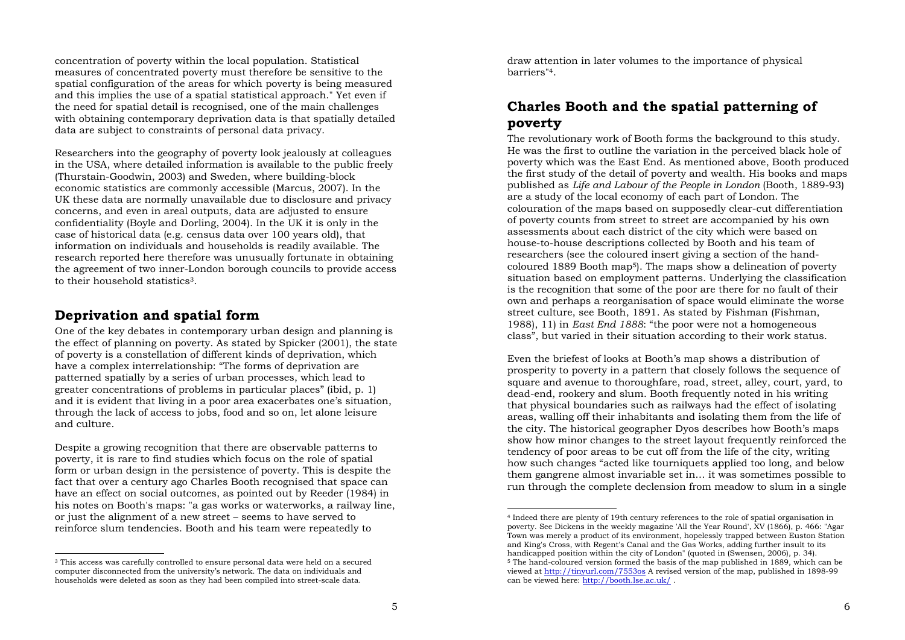concentration of poverty within the local population. Statistical measures of concentrated poverty must therefore be sensitive to the spatial configuration of the areas for which poverty is being measured and this implies the use of a spatial statistical approach." Yet even if the need for spatial detail is recognised, one of the main challenges with obtaining contemporary deprivation data is that spatially detailed data are subject to constraints of personal data privacy.

Researchers into the geography of poverty look jealously at colleagues in the USA, where detailed information is available to the public freely (Thurstain-Goodwin, 2003) and Sweden, where building-block economic statistics are commonly accessible (Marcus, 2007). In the UK these data are normally unavailable due to disclosure and privacy concerns, and even in areal outputs, data are adjusted to ensure confidentiality (Boyle and Dorling, 2004). In the UK it is only in the case of historical data (e.g. census data over 100 years old), that information on individuals and households is readily available. The research reported here therefore was unusually fortunate in obtaining the agreement of two inner-London borough councils to provide access to their household statistics3.

#### **Deprivation and spatial form**

One of the key debates in contemporary urban design and planning is the effect of planning on poverty. As stated by Spicker (2001), the state of poverty is a constellation of different kinds of deprivation, which have a complex interrelationship: "The forms of deprivation are patterned spatially by a series of urban processes, which lead to greater concentrations of problems in particular places" (ibid, p. 1) and it is evident that living in a poor area exacerbates one's situation, through the lack of access to jobs, food and so on, let alone leisure and culture.

Despite a growing recognition that there are observable patterns to poverty, it is rare to find studies which focus on the role of spatial form or urban design in the persistence of poverty. This is despite the fact that over a century ago Charles Booth recognised that space can have an effect on social outcomes, as pointed out by Reeder (1984) in his notes on Booth's maps: "a gas works or waterworks, a railway line, or just the alignment of a new street – seems to have served to reinforce slum tendencies. Booth and his team were repeatedly to

draw attention in later volumes to the importance of physical barriers"4.

# **Charles Booth and the spatial patterning of poverty**

The revolutionary work of Booth forms the background to this study. He was the first to outline the variation in the perceived black hole of poverty which was the East End. As mentioned above, Booth produced the first study of the detail of poverty and wealth. His books and maps published as *Life and Labour of the People in London* (Booth, 1889-93) are a study of the local economy of each part of London. The colouration of the maps based on supposedly clear-cut differentiation of poverty counts from street to street are accompanied by his own assessments about each district of the city which were based on house-to-house descriptions collected by Booth and his team of researchers (see the coloured insert giving a section of the handcoloured 1889 Booth map5). The maps show a delineation of poverty situation based on employment patterns. Underlying the classification is the recognition that some of the poor are there for no fault of their own and perhaps a reorganisation of space would eliminate the worse street culture, see Booth, 1891. As stated by Fishman (Fishman, 1988), 11) in *East End 1888*: "the poor were not a homogeneous class", but varied in their situation according to their work status.

Even the briefest of looks at Booth's map shows a distribution of prosperity to poverty in a pattern that closely follows the sequence of square and avenue to thoroughfare, road, street, alley, court, yard, to dead-end, rookery and slum. Booth frequently noted in his writing that physical boundaries such as railways had the effect of isolating areas, walling off their inhabitants and isolating them from the life of the city. The historical geographer Dyos describes how Booth's maps show how minor changes to the street layout frequently reinforced the tendency of poor areas to be cut off from the life of the city, writing how such changes "acted like tourniquets applied too long, and below them gangrene almost invariable set in… it was sometimes possible to run through the complete declension from meadow to slum in a single

<sup>3</sup> This access was carefully controlled to ensure personal data were held on a secured computer disconnected from the university's network. The data on individuals and households were deleted as soon as they had been compiled into street-scale data.

<sup>4</sup> Indeed there are plenty of 19th century references to the role of spatial organisation in poverty. See Dickens in the weekly magazine 'All the Year Round', XV (1866), p. 466: "Agar Town was merely a product of its environment, hopelessly trapped between Euston Station and King's Cross, with Regent's Canal and the Gas Works, adding further insult to its handicapped position within the city of London" (quoted in (Swensen, 2006), p. 34). 5 The hand-coloured version formed the basis of the map published in 1889, which can be viewed at http://tinyurl.com/7553os A revised version of the map, published in 1898-99 can be viewed here: http://booth.lse.ac.uk/ .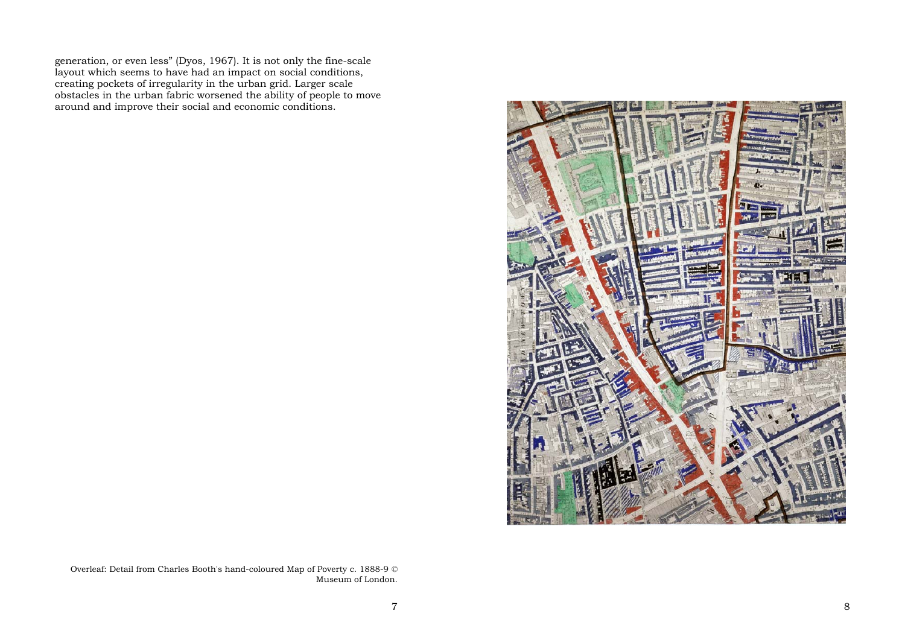generation, or even less" (Dyos, 1967). It is not only the fine-scale layout which seems to have had an impact on social conditions, creating pockets of irregularity in the urban grid. Larger scale obstacles in the urban fabric worsened the ability of people to move around and improve their social and economic conditions.



Overleaf: Detail from Charles Booth's hand-coloured Map of Poverty c. 1888-9 © Museum of London.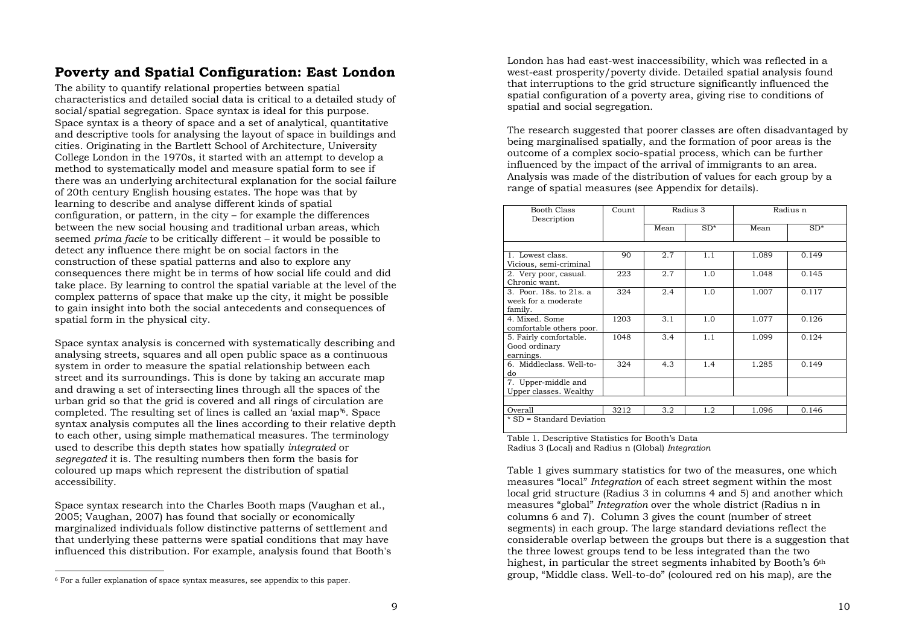# **Poverty and Spatial Configuration: East London**

The ability to quantify relational properties between spatial characteristics and detailed social data is critical to a detailed study of social/spatial segregation. Space syntax is ideal for this purpose. Space syntax is a theory of space and a set of analytical, quantitative and descriptive tools for analysing the layout of space in buildings and cities. Originating in the Bartlett School of Architecture, University College London in the 1970s, it started with an attempt to develop a method to systematically model and measure spatial form to see if there was an underlying architectural explanation for the social failure of 20th century English housing estates. The hope was that by learning to describe and analyse different kinds of spatial configuration, or pattern, in the city – for example the differences between the new social housing and traditional urban areas, which seemed *prima facie* to be critically different – it would be possible to detect any influence there might be on social factors in the construction of these spatial patterns and also to explore any consequences there might be in terms of how social life could and did take place. By learning to control the spatial variable at the level of the complex patterns of space that make up the city, it might be possible to gain insight into both the social antecedents and consequences of spatial form in the physical city.

Space syntax analysis is concerned with systematically describing and analysing streets, squares and all open public space as a continuous system in order to measure the spatial relationship between each street and its surroundings. This is done by taking an accurate map and drawing a set of intersecting lines through all the spaces of the urban grid so that the grid is covered and all rings of circulation are completed. The resulting set of lines is called an 'axial map'6. Space syntax analysis computes all the lines according to their relative depth to each other, using simple mathematical measures. The terminology used to describe this depth states how spatially *integrated* or *segregated* it is. The resulting numbers then form the basis for coloured up maps which represent the distribution of spatial accessibility.

Space syntax research into the Charles Booth maps (Vaughan et al., 2005; Vaughan, 2007) has found that socially or economically marginalized individuals follow distinctive patterns of settlement and that underlying these patterns were spatial conditions that may have influenced this distribution. For example, analysis found that Booth's London has had east-west inaccessibility, which was reflected in a west-east prosperity/poverty divide. Detailed spatial analysis found that interruptions to the grid structure significantly influenced the spatial configuration of a poverty area, giving rise to conditions of spatial and social segregation.

The research suggested that poorer classes are often disadvantaged by being marginalised spatially, and the formation of poor areas is the outcome of a complex socio-spatial process, which can be further influenced by the impact of the arrival of immigrants to an area. Analysis was made of the distribution of values for each group by a range of spatial measures (see Appendix for details).

| Booth Class<br>Description                                | Count | Radius 3 |       | Radius n |       |
|-----------------------------------------------------------|-------|----------|-------|----------|-------|
|                                                           |       | Mean     | $SD*$ | Mean     | $SD*$ |
|                                                           |       |          |       |          |       |
| 1. Lowest class.<br>Vicious, semi-criminal                | 90    | 2.7      | 1.1   | 1.089    | 0.149 |
| 2. Very poor, casual.<br>Chronic want.                    | 223   | 2.7      | 1.0   | 1.048    | 0.145 |
| 3. Poor. 18s. to 21s. a<br>week for a moderate<br>family. | 324   | 2.4      | 1.0   | 1.007    | 0.117 |
| 4. Mixed, Some<br>comfortable others poor.                | 1203  | 3.1      | 1.0   | 1.077    | 0.126 |
| 5. Fairly comfortable.<br>Good ordinary<br>earnings.      | 1048  | 3.4      | 1.1   | 1.099    | 0.124 |
| 6. Middleclass. Well-to-<br>do                            | 324   | 4.3      | 1.4   | 1.285    | 0.149 |
| 7. Upper-middle and<br>Upper classes. Wealthy             |       |          |       |          |       |
| Overall                                                   | 3212  | 3.2      | 1.2   | 1.096    | 0.146 |
| * SD = Standard Deviation                                 |       |          |       |          |       |

Table 1. Descriptive Statistics for Booth's Data

Radius 3 (Local) and Radius n (Global) *Integration*

Table 1 gives summary statistics for two of the measures, one which measures "local" *Integration* of each street segment within the most local grid structure (Radius 3 in columns 4 and 5) and another which measures "global" *Integration* over the whole district (Radius n in columns 6 and 7). Column 3 gives the count (number of street segments) in each group. The large standard deviations reflect the considerable overlap between the groups but there is a suggestion that the three lowest groups tend to be less integrated than the two highest, in particular the street segments inhabited by Booth's 6<sup>th</sup> group, "Middle class. Well-to-do" (coloured red on his map), are the

<sup>6</sup> For a fuller explanation of space syntax measures, see appendix to this paper.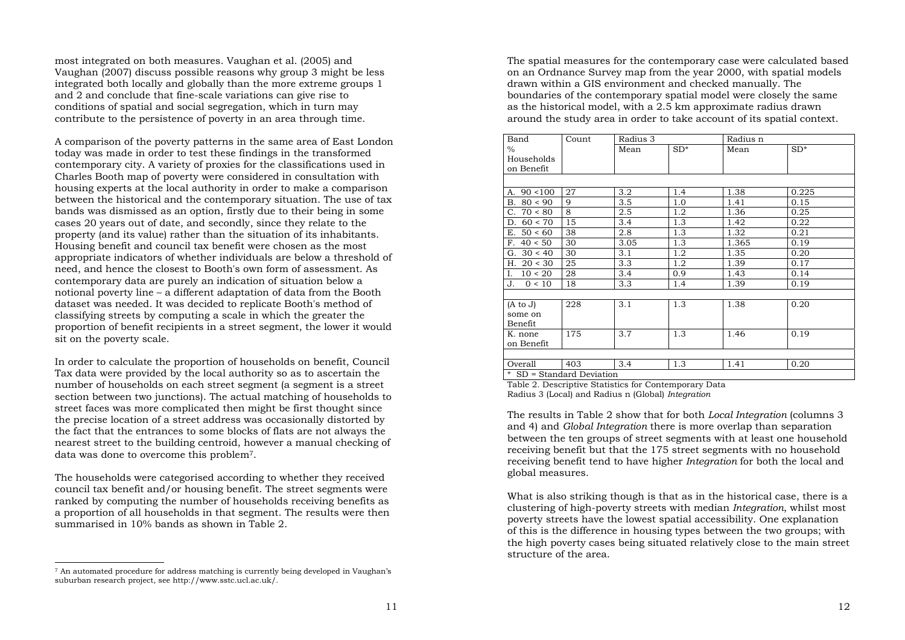most integrated on both measures. Vaughan et al. (2005) and Vaughan (2007) discuss possible reasons why group 3 might be less integrated both locally and globally than the more extreme groups 1 and 2 and conclude that fine-scale variations can give rise to conditions of spatial and social segregation, which in turn may contribute to the persistence of poverty in an area through time.

A comparison of the poverty patterns in the same area of East London today was made in order to test these findings in the transformed contemporary city. A variety of proxies for the classifications used in Charles Booth map of poverty were considered in consultation with housing experts at the local authority in order to make a comparison between the historical and the contemporary situation. The use of tax bands was dismissed as an option, firstly due to their being in some cases 20 years out of date, and secondly, since they relate to the property (and its value) rather than the situation of its inhabitants. Housing benefit and council tax benefit were chosen as the most appropriate indicators of whether individuals are below a threshold of need, and hence the closest to Booth's own form of assessment. As contemporary data are purely an indication of situation below a notional poverty line – a different adaptation of data from the Booth dataset was needed. It was decided to replicate Booth's method of classifying streets by computing a scale in which the greater the proportion of benefit recipients in a street segment, the lower it would sit on the poverty scale.

In order to calculate the proportion of households on benefit, Council Tax data were provided by the local authority so as to ascertain the number of households on each street segment (a segment is a street section between two junctions). The actual matching of households to street faces was more complicated then might be first thought since the precise location of a street address was occasionally distorted by the fact that the entrances to some blocks of flats are not always the nearest street to the building centroid, however a manual checking of data was done to overcome this problem7.

The households were categorised according to whether they received council tax benefit and/or housing benefit. The street segments were ranked by computing the number of households receiving benefits as a proportion of all households in that segment. The results were then summarised in 10% bands as shown in Table 2.

7 An automated procedure for address matching is currently being developed in Vaughan's suburban research project, see http://www.sstc.ucl.ac.uk/.

The spatial measures for the contemporary case were calculated based on an Ordnance Survey map from the year 2000, with spatial models drawn within a GIS environment and checked manually. The boundaries of the contemporary spatial model were closely the same as the historical model, with a 2.5 km approximate radius drawn around the study area in order to take account of its spatial context.

| Band                      | Count | Radius 3 |       | Radius n |       |
|---------------------------|-------|----------|-------|----------|-------|
| $\%$                      |       | Mean     | $SD*$ | Mean     | $SD*$ |
| Households                |       |          |       |          |       |
| on Benefit                |       |          |       |          |       |
|                           |       |          |       |          |       |
| A. $90 < 100$             | 27    | 3.2      | 1.4   | 1.38     | 0.225 |
| B. $80 < 90$              | 9     | 3.5      | 1.0   | 1.41     | 0.15  |
| C. $70 < 80$              | 8     | 2.5      | 1.2   | 1.36     | 0.25  |
| D. $60 < 70$              | 15    | 3.4      | 1.3   | 1.42     | 0.22  |
| E. $50 < 60$              | 38    | 2.8      | 1.3   | 1.32     | 0.21  |
| F. 40 < 50                | 30    | 3.05     | 1.3   | 1.365    | 0.19  |
| G. $30 < 40$              | 30    | 3.1      | 1.2   | 1.35     | 0.20  |
| H. $20 < 30$              | 25    | 3.3      | 1.2   | 1.39     | 0.17  |
| I. $10 < 20$              | 28    | 3.4      | 0.9   | 1.43     | 0.14  |
| J.<br>0 < 10              | 18    | 3.3      | 1.4   | 1.39     | 0.19  |
|                           |       |          |       |          |       |
| $(A \text{ to } J)$       | 228   | 3.1      | 1.3   | 1.38     | 0.20  |
| some on                   |       |          |       |          |       |
| Benefit                   |       |          |       |          |       |
| K. none                   | 175   | 3.7      | 1.3   | 1.46     | 0.19  |
| on Benefit                |       |          |       |          |       |
|                           |       |          |       |          |       |
| Overall                   | 403   | 3.4      | 1.3   | 1.41     | 0.20  |
| * SD = Standard Deviation |       |          |       |          |       |

Table 2. Descriptive Statistics for Contemporary Data Radius 3 (Local) and Radius n (Global) *Integration*

The results in Table 2 show that for both *Local Integration* (columns 3 and 4) and *Global Integration* there is more overlap than separation between the ten groups of street segments with at least one household receiving benefit but that the 175 street segments with no household receiving benefit tend to have higher *Integration* for both the local and global measures.

What is also striking though is that as in the historical case, there is a clustering of high-poverty streets with median *Integration*, whilst most poverty streets have the lowest spatial accessibility. One explanation of this is the difference in housing types between the two groups; with the high poverty cases being situated relatively close to the main street structure of the area.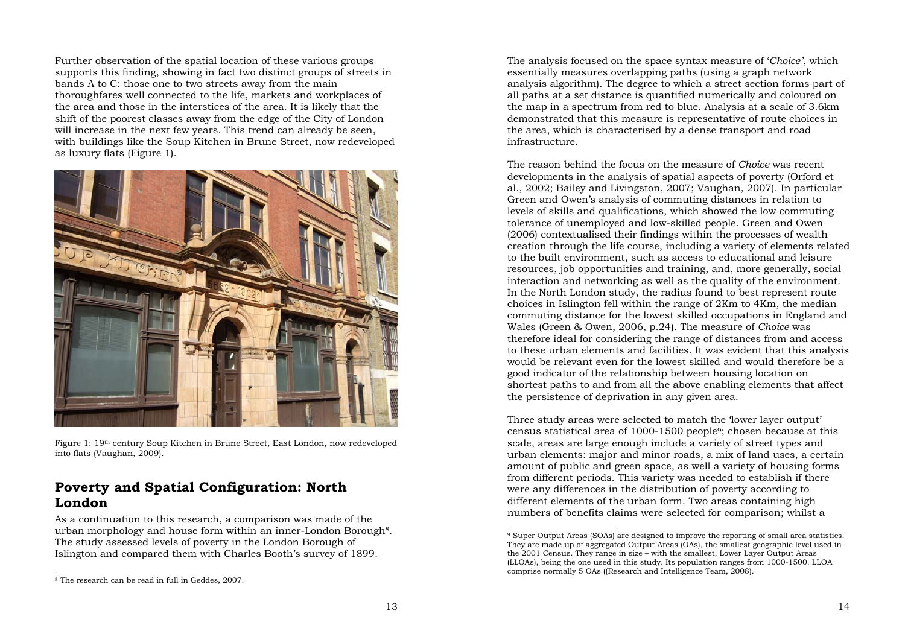Further observation of the spatial location of these various groups supports this finding, showing in fact two distinct groups of streets in bands A to C: those one to two streets away from the main thoroughfares well connected to the life, markets and workplaces of the area and those in the interstices of the area. It is likely that the shift of the poorest classes away from the edge of the City of London will increase in the next few years. This trend can already be seen, with buildings like the Soup Kitchen in Brune Street, now redeveloped as luxury flats (Figure 1).



Figure 1: 19th century Soup Kitchen in Brune Street, East London, now redeveloped into flats (Vaughan, 2009).

### **Poverty and Spatial Configuration: North London**

As a continuation to this research, a comparison was made of the urban morphology and house form within an inner-London Borough8. The study assessed levels of poverty in the London Borough of Islington and compared them with Charles Booth's survey of 1899.

The analysis focused on the space syntax measure of '*Choice'*, which essentially measures overlapping paths (using a graph network analysis algorithm). The degree to which a street section forms part of all paths at a set distance is quantified numerically and coloured on the map in a spectrum from red to blue. Analysis at a scale of 3.6km demonstrated that this measure is representative of route choices in the area, which is characterised by a dense transport and road infrastructure.

The reason behind the focus on the measure of *Choice* was recent developments in the analysis of spatial aspects of poverty (Orford et al., 2002; Bailey and Livingston, 2007; Vaughan, 2007). In particular Green and Owen's analysis of commuting distances in relation to levels of skills and qualifications, which showed the low commuting tolerance of unemployed and low-skilled people. Green and Owen (2006) contextualised their findings within the processes of wealth creation through the life course, including a variety of elements related to the built environment, such as access to educational and leisure resources, job opportunities and training, and, more generally, social interaction and networking as well as the quality of the environment. In the North London study, the radius found to best represent route choices in Islington fell within the range of 2Km to 4Km, the median commuting distance for the lowest skilled occupations in England and Wales (Green & Owen, 2006, p.24). The measure of *Choice* was therefore ideal for considering the range of distances from and access to these urban elements and facilities. It was evident that this analysis would be relevant even for the lowest skilled and would therefore be a good indicator of the relationship between housing location on shortest paths to and from all the above enabling elements that affect the persistence of deprivation in any given area.

Three study areas were selected to match the 'lower layer output' census statistical area of 1000-1500 people9; chosen because at this scale, areas are large enough include a variety of street types and urban elements: major and minor roads, a mix of land uses, a certain amount of public and green space, as well a variety of housing forms from different periods. This variety was needed to establish if there were any differences in the distribution of poverty according to different elements of the urban form. Two areas containing high numbers of benefits claims were selected for comparison; whilst a

<sup>8</sup> The research can be read in full in Geddes, 2007.

<sup>9</sup> Super Output Areas (SOAs) are designed to improve the reporting of small area statistics. They are made up of aggregated Output Areas (OAs), the smallest geographic level used in the 2001 Census. They range in size – with the smallest, Lower Layer Output Areas (LLOAs), being the one used in this study. Its population ranges from 1000-1500. LLOA comprise normally 5 OAs ((Research and Intelligence Team, 2008).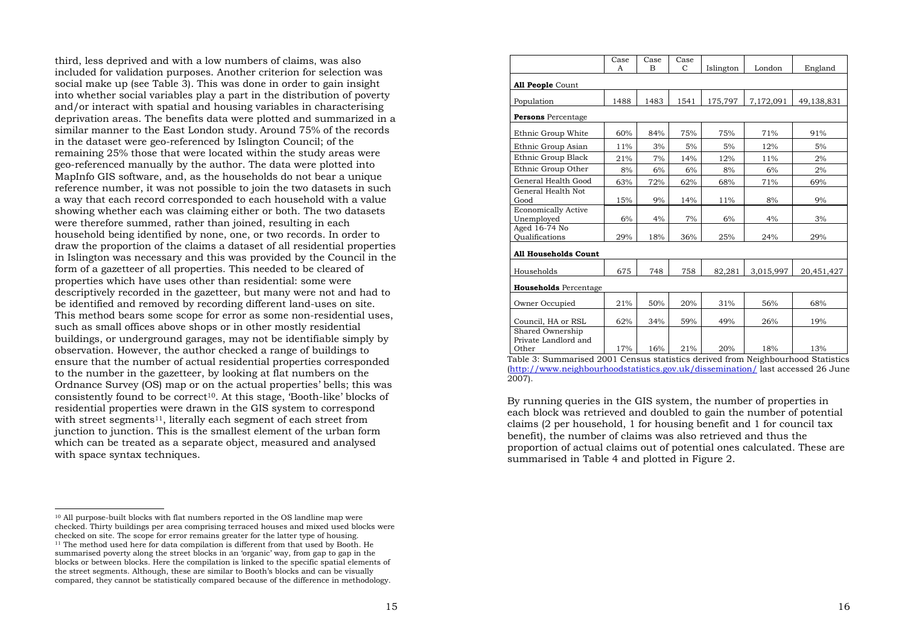third, less deprived and with a low numbers of claims, was also included for validation purposes. Another criterion for selection was social make up (see Table 3). This was done in order to gain insight into whether social variables play a part in the distribution of poverty and/or interact with spatial and housing variables in characterising deprivation areas. The benefits data were plotted and summarized in a similar manner to the East London study. Around 75% of the records in the dataset were geo-referenced by Islington Council; of the remaining 25% those that were located within the study areas were geo-referenced manually by the author. The data were plotted into MapInfo GIS software, and, as the households do not bear a unique reference number, it was not possible to join the two datasets in such a way that each record corresponded to each household with a value showing whether each was claiming either or both. The two datasets were therefore summed, rather than joined, resulting in each household being identified by none, one, or two records. In order to draw the proportion of the claims a dataset of all residential properties in Islington was necessary and this was provided by the Council in the form of a gazetteer of all properties. This needed to be cleared of properties which have uses other than residential: some were descriptively recorded in the gazetteer, but many were not and had to be identified and removed by recording different land-uses on site. This method bears some scope for error as some non-residential uses, such as small offices above shops or in other mostly residential buildings, or underground garages, may not be identifiable simply by observation. However, the author checked a range of buildings to ensure that the number of actual residential properties corresponded to the number in the gazetteer, by looking at flat numbers on the Ordnance Survey (OS) map or on the actual properties' bells; this was consistently found to be correct10. At this stage, 'Booth-like' blocks of residential properties were drawn in the GIS system to correspond with street segments<sup>11</sup>, literally each segment of each street from junction to junction. This is the smallest element of the urban form which can be treated as a separate object, measured and analysed with space syntax techniques.

|                                                                                     | Case | Case | Case                            |                                                       |                                                        |                         |
|-------------------------------------------------------------------------------------|------|------|---------------------------------|-------------------------------------------------------|--------------------------------------------------------|-------------------------|
|                                                                                     | A    | B    | C                               | Islington                                             | London                                                 | England                 |
| All People Count                                                                    |      |      |                                 |                                                       |                                                        |                         |
| Population                                                                          | 1488 | 1483 | 1541                            | 175,797                                               | 7,172,091                                              | 49,138,831              |
| <b>Persons</b> Percentage                                                           |      |      |                                 |                                                       |                                                        |                         |
| Ethnic Group White                                                                  | 60%  | 84%  | 75%                             | 75%                                                   | 71%                                                    | 91%                     |
| Ethnic Group Asian                                                                  | 11%  | 3%   | 5%                              | 5%                                                    | 12%                                                    | 5%                      |
| Ethnic Group Black                                                                  | 21%  | 7%   | 14%                             | 12%                                                   | 11%                                                    | 2%                      |
| Ethnic Group Other                                                                  | 8%   | 6%   | 6%                              | 8%                                                    | 6%                                                     | 2%                      |
| General Health Good                                                                 | 63%  | 72%  | 62%                             | 68%                                                   | 71%                                                    | 69%                     |
| General Health Not<br>Good                                                          | 15%  | 9%   | 14%                             | 11%                                                   | 8%                                                     | 9%                      |
| <b>Economically Active</b><br>Unemployed                                            | 6%   | 4%   | 7%                              | 6%                                                    | 4%                                                     | 3%                      |
| Aged 16-74 No<br>Oualifications                                                     | 29%  | 18%  | 36%                             | 25%                                                   | 24%                                                    | 29%                     |
| <b>All Households Count</b>                                                         |      |      |                                 |                                                       |                                                        |                         |
| Households                                                                          | 675  | 748  | 758                             | 82,281                                                | 3,015,997                                              | 20,451,427              |
| <b>Households</b> Percentage                                                        |      |      |                                 |                                                       |                                                        |                         |
| Owner Occupied                                                                      | 21%  | 50%  | 20%                             | 31%                                                   | 56%                                                    | 68%                     |
| Council, HA or RSL                                                                  | 62%  | 34%  | 59%                             | 49%                                                   | 26%                                                    | 19%                     |
| Shared Ownership<br>Private Landlord and<br>Other<br>$-11 - 2$ . Commercial 0001. C | 17%  | 16%  | 21%<br>وبالان والمتعاطف فتفاضله | 20%<br>$\mathbf{1}$ and $\mathbf{1}$ and $\mathbf{1}$ | 18%<br>$\mathbf{M}$ of other has a set of $\mathbf{L}$ | 13%<br>$- - 104 - 1111$ |

Table 3: Summarised 2001 Census statistics derived from Neighbourhood Statistics (http://www.neighbourhoodstatistics.gov.uk/dissemination/ last accessed 26 June 2007).

By running queries in the GIS system, the number of properties in each block was retrieved and doubled to gain the number of potential claims (2 per household, 1 for housing benefit and 1 for council tax benefit), the number of claims was also retrieved and thus the proportion of actual claims out of potential ones calculated. These are summarised in Table 4 and plotted in Figure 2.

<sup>10</sup> All purpose-built blocks with flat numbers reported in the OS landline map were checked. Thirty buildings per area comprising terraced houses and mixed used blocks were checked on site. The scope for error remains greater for the latter type of housing. 11 The method used here for data compilation is different from that used by Booth. He summarised poverty along the street blocks in an 'organic' way, from gap to gap in the blocks or between blocks. Here the compilation is linked to the specific spatial elements of the street segments. Although, these are similar to Booth's blocks and can be visually compared, they cannot be statistically compared because of the difference in methodology.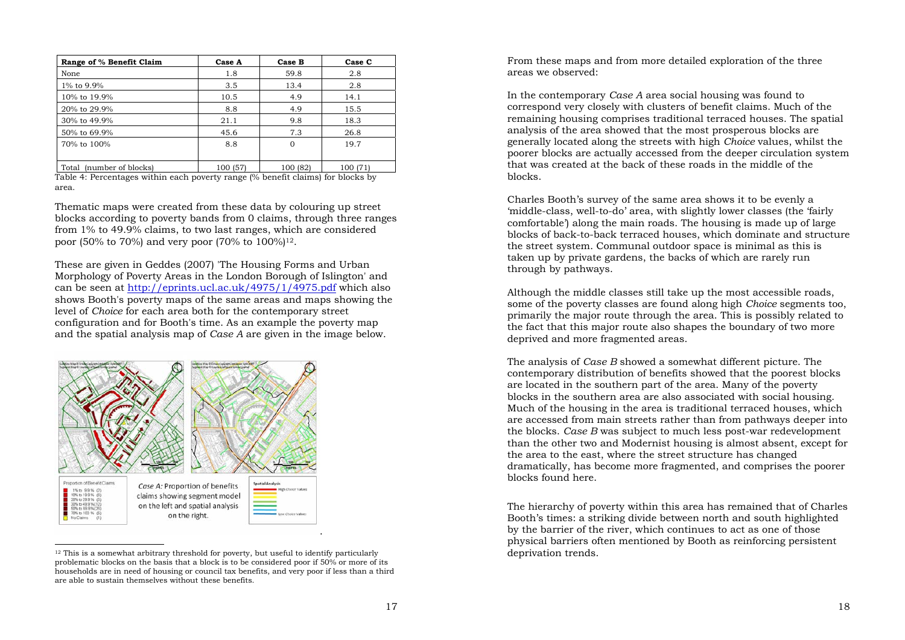| Range of % Benefit Claim | Case A   | Case B   | Case C   |
|--------------------------|----------|----------|----------|
| None                     | 1.8      | 59.8     | 2.8      |
| 1% to 9.9%               | 3.5      | 13.4     | 2.8      |
| 10% to 19.9%             | 10.5     | 4.9      | 14.1     |
| 20% to 29.9%             | 8.8      | 4.9      | 15.5     |
| 30% to 49.9%             | 21.1     | 9.8      | 18.3     |
| 50% to 69.9%             | 45.6     | 7.3      | 26.8     |
| 70% to 100%              | 8.8      | $\Omega$ | 19.7     |
|                          |          |          |          |
| Total (number of blocks) | 100 (57) | 100 (82) | 100 (71) |

Table 4: Percentages within each poverty range (% benefit claims) for blocks by area.

Thematic maps were created from these data by colouring up street blocks according to poverty bands from 0 claims, through three ranges from 1% to 49.9% claims, to two last ranges, which are considered poor (50% to 70%) and very poor (70% to 100%)12.

These are given in Geddes (2007) 'The Housing Forms and Urban Morphology of Poverty Areas in the London Borough of Islington' and can be seen at http://eprints.ucl.ac.uk/4975/1/4975.pdf which also shows Booth's poverty maps of the same areas and maps showing the level of *Choice* for each area both for the contemporary street configuration and for Booth's time. As an example the poverty map and the spatial analysis map of *Case A* are given in the image below.



<sup>12</sup> This is a somewhat arbitrary threshold for poverty, but useful to identify particularly problematic blocks on the basis that a block is to be considered poor if 50% or more of its households are in need of housing or council tax benefits, and very poor if less than a third are able to sustain themselves without these benefits.

From these maps and from more detailed exploration of the three areas we observed:

In the contemporary *Case A* area social housing was found to correspond very closely with clusters of benefit claims. Much of the remaining housing comprises traditional terraced houses. The spatial analysis of the area showed that the most prosperous blocks are generally located along the streets with high *Choice* values, whilst the poorer blocks are actually accessed from the deeper circulation system that was created at the back of these roads in the middle of the blocks.

Charles Booth's survey of the same area shows it to be evenly a 'middle-class, well-to-do' area, with slightly lower classes (the 'fairly comfortable') along the main roads. The housing is made up of large blocks of back-to-back terraced houses, which dominate and structure the street system. Communal outdoor space is minimal as this is taken up by private gardens, the backs of which are rarely run through by pathways.

Although the middle classes still take up the most accessible roads, some of the poverty classes are found along high *Choice* segments too, primarily the major route through the area. This is possibly related to the fact that this major route also shapes the boundary of two more deprived and more fragmented areas.

The analysis of *Case B* showed a somewhat different picture. The contemporary distribution of benefits showed that the poorest blocks are located in the southern part of the area. Many of the poverty blocks in the southern area are also associated with social housing. Much of the housing in the area is traditional terraced houses, which are accessed from main streets rather than from pathways deeper into the blocks. *Case B* was subject to much less post-war redevelopment than the other two and Modernist housing is almost absent, except for the area to the east, where the street structure has changed dramatically, has become more fragmented, and comprises the poorer blocks found here.

The hierarchy of poverty within this area has remained that of Charles Booth's times: a striking divide between north and south highlighted by the barrier of the river, which continues to act as one of those physical barriers often mentioned by Booth as reinforcing persistent deprivation trends.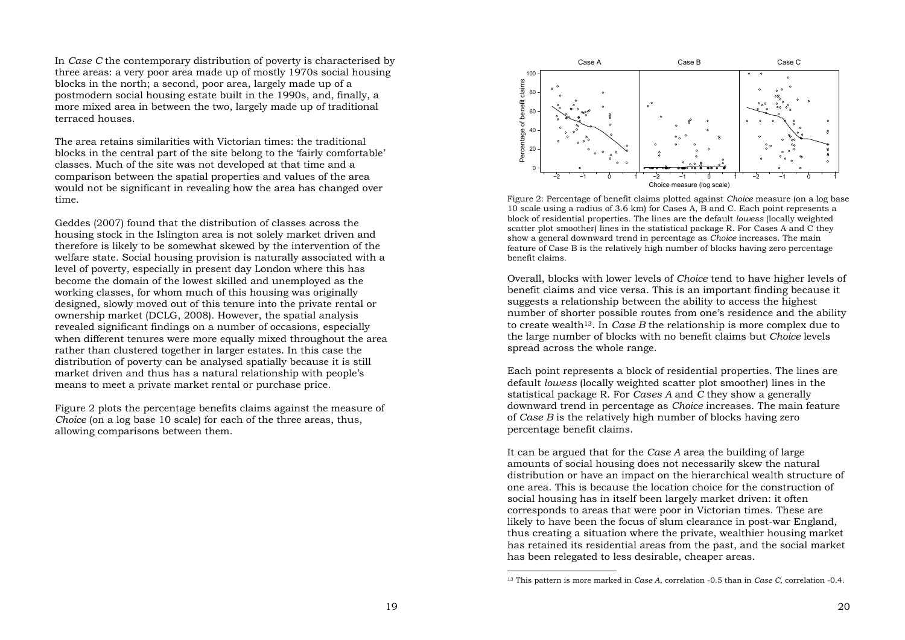In *Case C* the contemporary distribution of poverty is characterised by three areas: a very poor area made up of mostly 1970s social housing blocks in the north; a second, poor area, largely made up of a postmodern social housing estate built in the 1990s, and, finally, a more mixed area in between the two, largely made up of traditional terraced houses.

The area retains similarities with Victorian times: the traditional blocks in the central part of the site belong to the 'fairly comfortable' classes. Much of the site was not developed at that time and a comparison between the spatial properties and values of the area would not be significant in revealing how the area has changed over time.

Geddes (2007) found that the distribution of classes across the housing stock in the Islington area is not solely market driven and therefore is likely to be somewhat skewed by the intervention of the welfare state. Social housing provision is naturally associated with a level of poverty, especially in present day London where this has become the domain of the lowest skilled and unemployed as the working classes, for whom much of this housing was originally designed, slowly moved out of this tenure into the private rental or ownership market (DCLG, 2008). However, the spatial analysis revealed significant findings on a number of occasions, especially when different tenures were more equally mixed throughout the area rather than clustered together in larger estates. In this case the distribution of poverty can be analysed spatially because it is still market driven and thus has a natural relationship with people's means to meet a private market rental or purchase price.

Figure 2 plots the percentage benefits claims against the measure of *Choice* (on a log base 10 scale) for each of the three areas, thus, allowing comparisons between them.



Figure 2: Percentage of benefit claims plotted against *Choice* measure (on a log base 10 scale using a radius of 3.6 km) for Cases A, B and C. Each point represents a block of residential properties. The lines are the default *lowess* (locally weighted scatter plot smoother) lines in the statistical package R. For Cases A and C they show a general downward trend in percentage as *Choice* increases. The main feature of Case B is the relatively high number of blocks having zero percentage benefit claims.

Overall, blocks with lower levels of *Choice* tend to have higher levels of benefit claims and vice versa. This is an important finding because it suggests a relationship between the ability to access the highest number of shorter possible routes from one's residence and the ability to create wealth13. In *Case B* the relationship is more complex due to the large number of blocks with no benefit claims but *Choice* levels spread across the whole range.

Each point represents a block of residential properties. The lines are default *lowess* (locally weighted scatter plot smoother) lines in the statistical package R. For *Cases A* and *C* they show a generally downward trend in percentage as *Choice* increases. The main feature of *Case B* is the relatively high number of blocks having zero percentage benefit claims.

It can be argued that for the *Case A* area the building of large amounts of social housing does not necessarily skew the natural distribution or have an impact on the hierarchical wealth structure of one area. This is because the location choice for the construction of social housing has in itself been largely market driven: it often corresponds to areas that were poor in Victorian times. These are likely to have been the focus of slum clearance in post-war England, thus creating a situation where the private, wealthier housing market has retained its residential areas from the past, and the social market has been relegated to less desirable, cheaper areas.

<sup>13</sup> This pattern is more marked in *Case A*, correlation -0.5 than in *Case C*, correlation -0.4.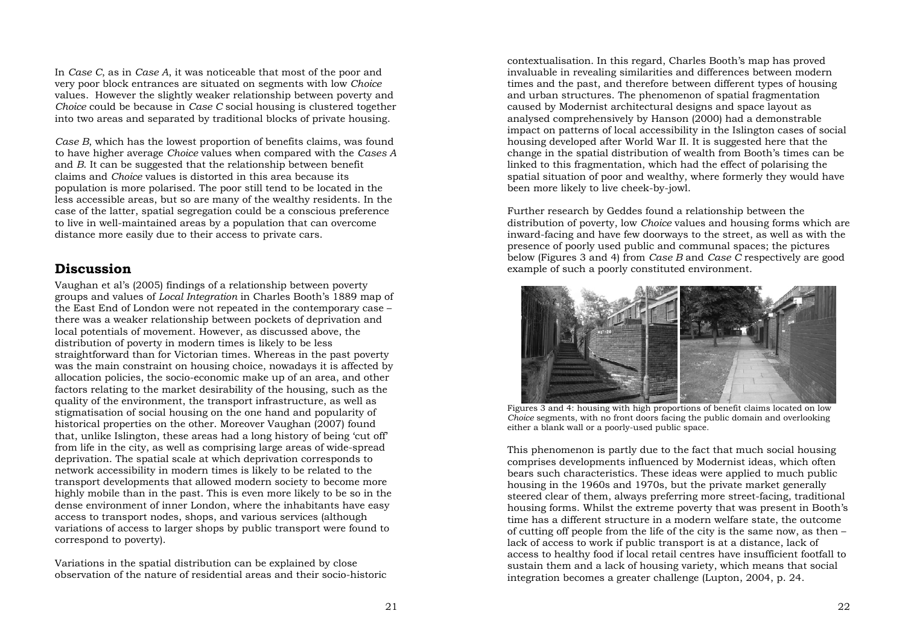In *Case C*, as in *Case A*, it was noticeable that most of the poor and very poor block entrances are situated on segments with low *Choice* values. However the slightly weaker relationship between poverty and *Choice* could be because in *Case C* social housing is clustered together into two areas and separated by traditional blocks of private housing.

*Case B*, which has the lowest proportion of benefits claims, was found to have higher average *Choice* values when compared with the *Cases A* and *B*. It can be suggested that the relationship between benefit claims and *Choice* values is distorted in this area because its population is more polarised. The poor still tend to be located in the less accessible areas, but so are many of the wealthy residents. In the case of the latter, spatial segregation could be a conscious preference to live in well-maintained areas by a population that can overcome distance more easily due to their access to private cars.

#### **Discussion**

Vaughan et al's (2005) findings of a relationship between poverty groups and values of *Local Integration* in Charles Booth's 1889 map of the East End of London were not repeated in the contemporary case – there was a weaker relationship between pockets of deprivation and local potentials of movement. However, as discussed above, the distribution of poverty in modern times is likely to be less straightforward than for Victorian times. Whereas in the past poverty was the main constraint on housing choice, nowadays it is affected by allocation policies, the socio-economic make up of an area, and other factors relating to the market desirability of the housing, such as the quality of the environment, the transport infrastructure, as well as stigmatisation of social housing on the one hand and popularity of historical properties on the other. Moreover Vaughan (2007) found that, unlike Islington, these areas had a long history of being 'cut off' from life in the city, as well as comprising large areas of wide-spread deprivation. The spatial scale at which deprivation corresponds to network accessibility in modern times is likely to be related to the transport developments that allowed modern society to become more highly mobile than in the past. This is even more likely to be so in the dense environment of inner London, where the inhabitants have easy access to transport nodes, shops, and various services (although variations of access to larger shops by public transport were found to correspond to poverty).

Variations in the spatial distribution can be explained by close observation of the nature of residential areas and their socio-historic contextualisation. In this regard, Charles Booth's map has proved invaluable in revealing similarities and differences between modern times and the past, and therefore between different types of housing and urban structures. The phenomenon of spatial fragmentation caused by Modernist architectural designs and space layout as analysed comprehensively by Hanson (2000) had a demonstrable impact on patterns of local accessibility in the Islington cases of social housing developed after World War II. It is suggested here that the change in the spatial distribution of wealth from Booth's times can be linked to this fragmentation, which had the effect of polarising the spatial situation of poor and wealthy, where formerly they would have been more likely to live cheek-by-jowl.

Further research by Geddes found a relationship between the distribution of poverty, low *Choice* values and housing forms which are inward-facing and have few doorways to the street, as well as with the presence of poorly used public and communal spaces; the pictures below (Figures 3 and 4) from *Case B* and *Case C* respectively are good example of such a poorly constituted environment.



Figures 3 and 4: housing with high proportions of benefit claims located on low *Choice* segments, with no front doors facing the public domain and overlooking either a blank wall or a poorly-used public space.

This phenomenon is partly due to the fact that much social housing comprises developments influenced by Modernist ideas, which often bears such characteristics. These ideas were applied to much public housing in the 1960s and 1970s, but the private market generally steered clear of them, always preferring more street-facing, traditional housing forms. Whilst the extreme poverty that was present in Booth's time has a different structure in a modern welfare state, the outcome of cutting off people from the life of the city is the same now, as then – lack of access to work if public transport is at a distance, lack of access to healthy food if local retail centres have insufficient footfall to sustain them and a lack of housing variety, which means that social integration becomes a greater challenge (Lupton, 2004, p. 24.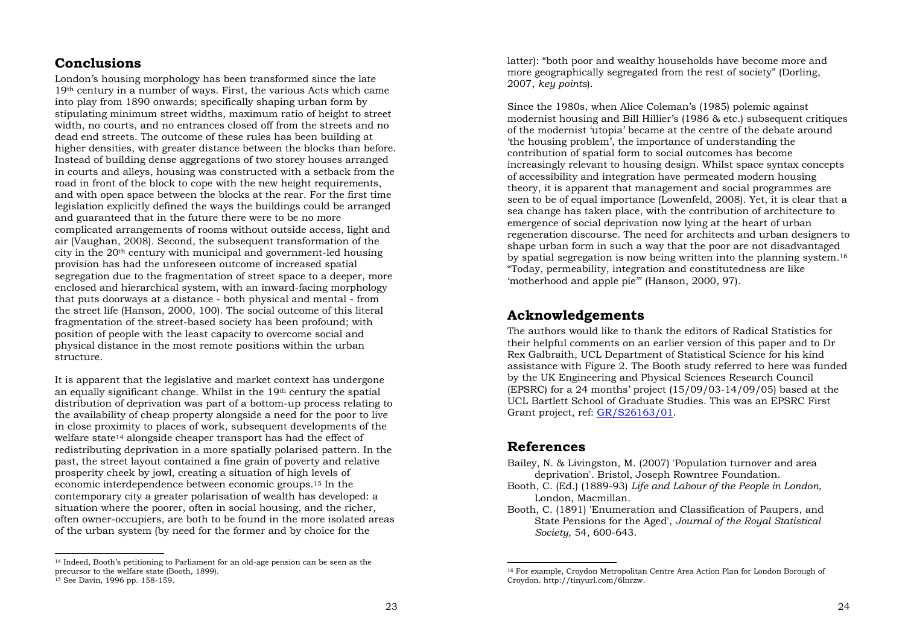#### **Conclusions**

London's housing morphology has been transformed since the late 19th century in a number of ways. First, the various Acts which came into play from 1890 onwards; specifically shaping urban form by stipulating minimum street widths, maximum ratio of height to street width, no courts, and no entrances closed off from the streets and no dead end streets. The outcome of these rules has been building at higher densities, with greater distance between the blocks than before. Instead of building dense aggregations of two storey houses arranged in courts and alleys, housing was constructed with a setback from the road in front of the block to cope with the new height requirements, and with open space between the blocks at the rear. For the first time legislation explicitly defined the ways the buildings could be arranged and guaranteed that in the future there were to be no more complicated arrangements of rooms without outside access, light and air (Vaughan, 2008). Second, the subsequent transformation of the city in the 20th century with municipal and government-led housing provision has had the unforeseen outcome of increased spatial segregation due to the fragmentation of street space to a deeper, more enclosed and hierarchical system, with an inward-facing morphology that puts doorways at a distance - both physical and mental - from the street life (Hanson, 2000, 100). The social outcome of this literal fragmentation of the street-based society has been profound; with position of people with the least capacity to overcome social and physical distance in the most remote positions within the urban structure.

It is apparent that the legislative and market context has undergone an equally significant change. Whilst in the 19th century the spatial distribution of deprivation was part of a bottom-up process relating to the availability of cheap property alongside a need for the poor to live in close proximity to places of work, subsequent developments of the welfare state<sup>14</sup> alongside cheaper transport has had the effect of redistributing deprivation in a more spatially polarised pattern. In the past, the street layout contained a fine grain of poverty and relative prosperity cheek by jowl, creating a situation of high levels of economic interdependence between economic groups.15 In the contemporary city a greater polarisation of wealth has developed: a situation where the poorer, often in social housing, and the richer, often owner-occupiers, are both to be found in the more isolated areas of the urban system (by need for the former and by choice for the

latter): "both poor and wealthy households have become more and more geographically segregated from the rest of society" (Dorling, 2007, *key points*).

Since the 1980s, when Alice Coleman's (1985) polemic against modernist housing and Bill Hillier's (1986 & etc.) subsequent critiques of the modernist 'utopia' became at the centre of the debate around 'the housing problem', the importance of understanding the contribution of spatial form to social outcomes has become increasingly relevant to housing design. Whilst space syntax concepts of accessibility and integration have permeated modern housing theory, it is apparent that management and social programmes are seen to be of equal importance (Lowenfeld, 2008). Yet, it is clear that a sea change has taken place, with the contribution of architecture to emergence of social deprivation now lying at the heart of urban regeneration discourse. The need for architects and urban designers to shape urban form in such a way that the poor are not disadvantaged by spatial segregation is now being written into the planning system.16 "Today, permeability, integration and constitutedness are like 'motherhood and apple pie'" (Hanson, 2000, 97).

# **Acknowledgements**

The authors would like to thank the editors of Radical Statistics for their helpful comments on an earlier version of this paper and to Dr Rex Galbraith, UCL Department of Statistical Science for his kind assistance with Figure 2. The Booth study referred to here was funded by the UK Engineering and Physical Sciences Research Council (EPSRC) for a 24 months' project (15/09/03-14/09/05) based at the UCL Bartlett School of Graduate Studies. This was an EPSRC First Grant project, ref: GR/S26163/01.

#### **References**

- Bailey, N. & Livingston, M. (2007) 'Population turnover and area deprivation'. Bristol, Joseph Rowntree Foundation.
- Booth, C. (Ed.) (1889-93) *Life and Labour of the People in London,*  London, Macmillan.
- Booth, C. (1891) 'Enumeration and Classification of Paupers, and State Pensions for the Aged', *Journal of the Royal Statistical Society,* 54, 600-643.

<sup>14</sup> Indeed, Booth's petitioning to Parliament for an old-age pension can be seen as the precursor to the welfare state (Booth, 1899).

<sup>15</sup> See Davin, 1996 pp. 158-159.

<sup>16</sup> For example, Croydon Metropolitan Centre Area Action Plan for London Borough of Croydon. http://tinyurl.com/6lnrzw.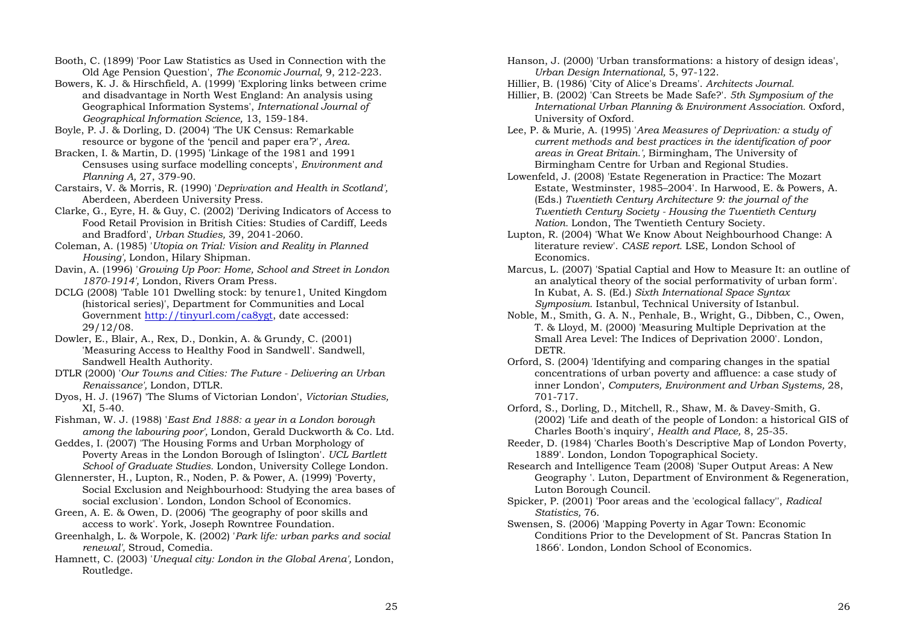Booth, C. (1899) 'Poor Law Statistics as Used in Connection with the Old Age Pension Question', *The Economic Journal,* 9, 212-223.

Bowers, K. J. & Hirschfield, A. (1999) 'Exploring links between crime and disadvantage in North West England: An analysis using Geographical Information Systems', *International Journal of Geographical Information Science,* 13, 159-184.

Boyle, P. J. & Dorling, D. (2004) 'The UK Census: Remarkable resource or bygone of the 'pencil and paper era'?', *Area*.

Bracken, I. & Martin, D. (1995) 'Linkage of the 1981 and 1991 Censuses using surface modelling concepts', *Environment and Planning A,* 27, 379-90.

Carstairs, V. & Morris, R. (1990) '*Deprivation and Health in Scotland',*  Aberdeen, Aberdeen University Press.

Clarke, G., Eyre, H. & Guy, C. (2002) 'Deriving Indicators of Access to Food Retail Provision in British Cities: Studies of Cardiff, Leeds and Bradford', *Urban Studies,* 39, 2041-2060.

Coleman, A. (1985) '*Utopia on Trial: Vision and Reality in Planned Housing',* London, Hilary Shipman.

Davin, A. (1996) '*Growing Up Poor: Home, School and Street in London 1870-1914',* London, Rivers Oram Press.

DCLG (2008) 'Table 101 Dwelling stock: by tenure1, United Kingdom (historical series)', Department for Communities and Local Government http://tinyurl.com/ca8ygt, date accessed: 29/12/08.

Dowler, E., Blair, A., Rex, D., Donkin, A. & Grundy, C. (2001) 'Measuring Access to Healthy Food in Sandwell'. Sandwell, Sandwell Health Authority.

DTLR (2000) '*Our Towns and Cities: The Future - Delivering an Urban Renaissance',* London, DTLR.

Dyos, H. J. (1967) 'The Slums of Victorian London', *Victorian Studies,* XI, 5-40.

Fishman, W. J. (1988) '*East End 1888: a year in a London borough among the labouring poor',* London, Gerald Duckworth & Co. Ltd.

Geddes, I. (2007) 'The Housing Forms and Urban Morphology of Poverty Areas in the London Borough of Islington'. *UCL Bartlett School of Graduate Studies.* London, University College London.

Glennerster, H., Lupton, R., Noden, P. & Power, A. (1999) 'Poverty, Social Exclusion and Neighbourhood: Studying the area bases of social exclusion'. London, London School of Economics.

Green, A. E. & Owen, D. (2006) 'The geography of poor skills and access to work'. York, Joseph Rowntree Foundation.

Greenhalgh, L. & Worpole, K. (2002) '*Park life: urban parks and social renewal',* Stroud, Comedia.

Hamnett, C. (2003) '*Unequal city: London in the Global Arena',* London, Routledge.

Hanson, J. (2000) 'Urban transformations: a history of design ideas', *Urban Design International,* 5, 97-122.

Hillier, B. (1986) 'City of Alice's Dreams'. *Architects Journal.* 

Hillier, B. (2002) 'Can Streets be Made Safe?'. *5th Symposium of the International Urban Planning & Environment Association.* Oxford, University of Oxford.

Lee, P. & Murie, A. (1995) '*Area Measures of Deprivation: a study of current methods and best practices in the identification of poor areas in Great Britain.',* Birmingham, The University of Birmingham Centre for Urban and Regional Studies.

Lowenfeld, J. (2008) 'Estate Regeneration in Practice: The Mozart Estate, Westminster, 1985–2004'. In Harwood, E. & Powers, A. (Eds.) *Twentieth Century Architecture 9: the journal of the Twentieth Century Society - Housing the Twentieth Century Nation.* London, The Twentieth Century Society.

Lupton, R. (2004) 'What We Know About Neighbourhood Change: A literature review'. *CASE report.* LSE, London School of Economics.

Marcus, L. (2007) 'Spatial Captial and How to Measure It: an outline of an analytical theory of the social performativity of urban form'. In Kubat, A. S. (Ed.) *Sixth International Space Syntax Symposium.* Istanbul, Technical University of Istanbul.

Noble, M., Smith, G. A. N., Penhale, B., Wright, G., Dibben, C., Owen, T. & Lloyd, M. (2000) 'Measuring Multiple Deprivation at the Small Area Level: The Indices of Deprivation 2000'. London, DETR.

Orford, S. (2004) 'Identifying and comparing changes in the spatial concentrations of urban poverty and affluence: a case study of inner London', *Computers, Environment and Urban Systems,* 28, 701-717.

Orford, S., Dorling, D., Mitchell, R., Shaw, M. & Davey-Smith, G. (2002) 'Life and death of the people of London: a historical GIS of Charles Booth's inquiry', *Health and Place,* 8, 25-35.

Reeder, D. (1984) 'Charles Booth's Descriptive Map of London Poverty, 1889'. London, London Topographical Society.

Research and Intelligence Team (2008) 'Super Output Areas: A New Geography '. Luton, Department of Environment & Regeneration, Luton Borough Council.

Spicker, P. (2001) 'Poor areas and the 'ecological fallacy'', *Radical Statistics,* 76.

Swensen, S. (2006) 'Mapping Poverty in Agar Town: Economic Conditions Prior to the Development of St. Pancras Station In 1866'. London, London School of Economics.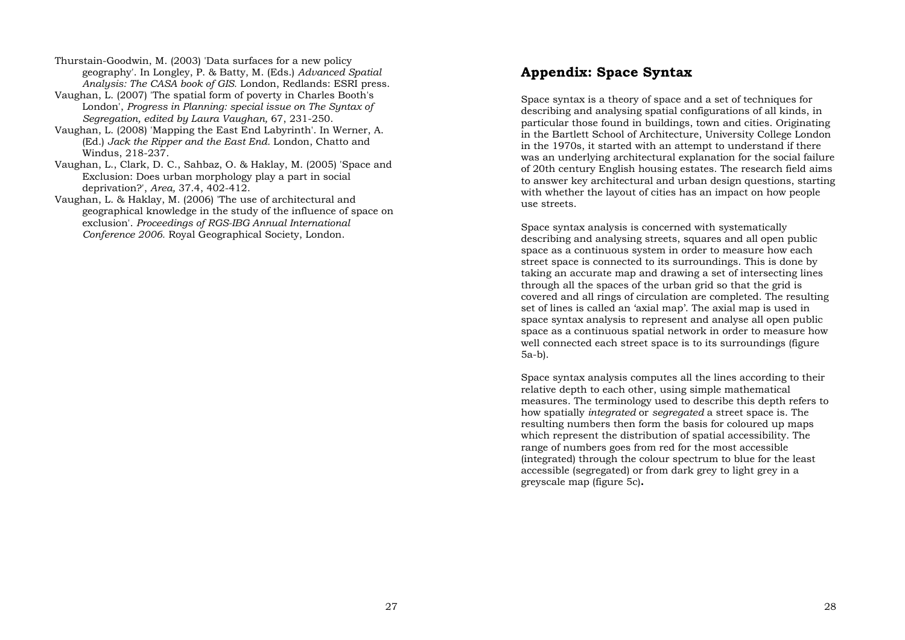Thurstain-Goodwin, M. (2003) 'Data surfaces for a new policy geography'. In Longley, P. & Batty, M. (Eds.) *Advanced Spatial Analysis: The CASA book of GIS.* London, Redlands: ESRI press.

- Vaughan, L. (2007) 'The spatial form of poverty in Charles Booth's London', *Progress in Planning: special issue on The Syntax of Segregation, edited by Laura Vaughan,* 67, 231-250.
- Vaughan, L. (2008) 'Mapping the East End Labyrinth'. In Werner, A. (Ed.) *Jack the Ripper and the East End.* London, Chatto and Windus, 218-237.
- Vaughan, L., Clark, D. C., Sahbaz, O. & Haklay, M. (2005) 'Space and Exclusion: Does urban morphology play a part in social deprivation?', *Area,* 37.4, 402-412.
- Vaughan, L. & Haklay, M. (2006) 'The use of architectural and geographical knowledge in the study of the influence of space on exclusion'. *Proceedings of RGS-IBG Annual International Conference 2006.* Royal Geographical Society, London.

### **Appendix: Space Syntax**

Space syntax is a theory of space and a set of techniques for describing and analysing spatial configurations of all kinds, in particular those found in buildings, town and cities. Originating in the Bartlett School of Architecture, University College London in the 1970s, it started with an attempt to understand if there was an underlying architectural explanation for the social failure of 20th century English housing estates. The research field aims to answer key architectural and urban design questions, starting with whether the layout of cities has an impact on how people use streets.

Space syntax analysis is concerned with systematically describing and analysing streets, squares and all open public space as a continuous system in order to measure how each street space is connected to its surroundings. This is done by taking an accurate map and drawing a set of intersecting lines through all the spaces of the urban grid so that the grid is covered and all rings of circulation are completed. The resulting set of lines is called an 'axial map'. The axial map is used in space syntax analysis to represent and analyse all open public space as a continuous spatial network in order to measure how well connected each street space is to its surroundings (figure 5a-b).

Space syntax analysis computes all the lines according to their relative depth to each other, using simple mathematical measures. The terminology used to describe this depth refers to how spatially *integrated* or *segregated* a street space is. The resulting numbers then form the basis for coloured up maps which represent the distribution of spatial accessibility. The range of numbers goes from red for the most accessible (integrated) through the colour spectrum to blue for the least accessible (segregated) or from dark grey to light grey in a greyscale map (figure 5c)**.**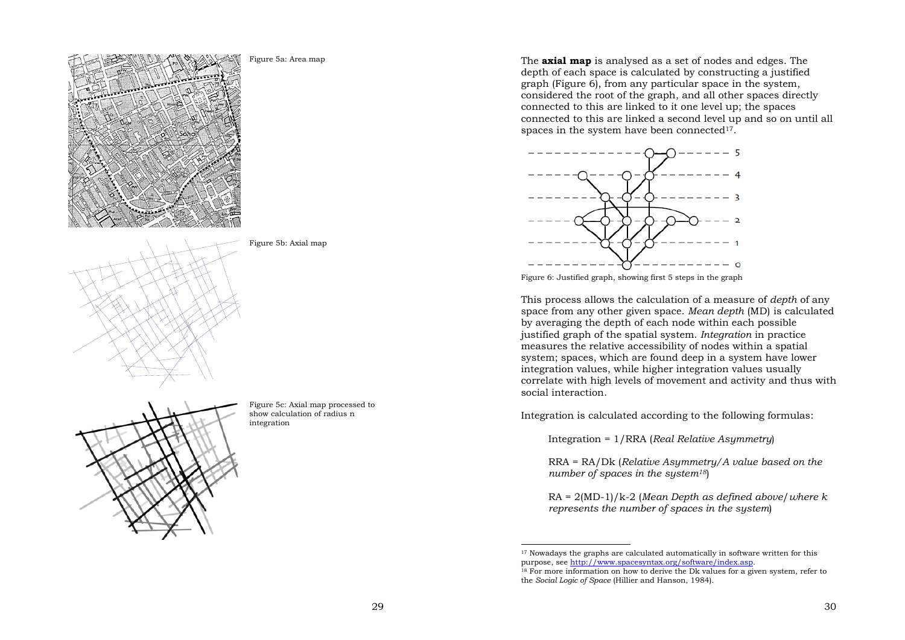





Figure 5c: Axial map processed to show calculation of radius n integration

Figure 5b: Axial map

The **axial map** is analysed as a set of nodes and edges. The depth of each space is calculated by constructing a justified graph (Figure 6), from any particular space in the system, considered the root of the graph, and all other spaces directly connected to this are linked to it one level up; the spaces connected to this are linked a second level up and so on until all spaces in the system have been connected $17$ .



Figure 6: Justified graph, showing first 5 steps in the graph

This process allows the calculation of a measure of *depth* of any space from any other given space. *Mean depth* (MD) is calculated by averaging the depth of each node within each possible justified graph of the spatial system. *Integration* in practice measures the relative accessibility of nodes within a spatial system; spaces, which are found deep in a system have lower integration values, while higher integration values usually correlate with high levels of movement and activity and thus with social interaction.

Integration is calculated according to the following formulas:

Integration = 1/RRA (*Real Relative Asymmetry*)

RRA = RA/Dk (*Relative Asymmetry/A value based on the number of spaces in the system18*)

RA = 2(MD-1)/k-2 (*Mean Depth as defined above*/*where k represents the number of spaces in the system*)

<sup>17</sup> Nowadays the graphs are calculated automatically in software written for this purpose, see http://www.spacesyntax.org/software/index.asp.

<sup>&</sup>lt;sup>18</sup> For more information on how to derive the Dk values for a given system, refer to the *Social Logic of Space* (Hillier and Hanson, 1984).